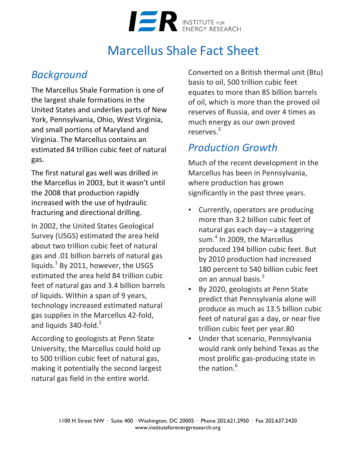

## Marcellus Shale Fact Sheet

#### *Background*

The Marcellus Shale Formation is one of the largest shale formations in the United States and underlies parts of New York, Pennsylvania, Ohio, West Virginia, and small portions of Maryland and Virginia. The Marcellus contains an estimated 84 trillion cubic feet of natural gas. 

The first natural gas well was drilled in the Marcellus in 2003, but it wasn't until the 2008 that production rapidly increased with the use of hydraulic fracturing and directional drilling.

In 2002, the United States Geological Survey (USGS) estimated the area held about two trillion cubic feet of natural gas and .01 billion barrels of natural gas liquids. $^{1}$  By 2011, however, the USGS estimated the area held 84 trillion cubic feet of natural gas and 3.4 billion barrels of liquids. Within a span of 9 years, technology increased estimated natural gas supplies in the Marcellus 42-fold, and liquids  $340$ -fold.<sup>2</sup>

According to geologists at Penn State University, the Marcellus could hold up to 500 trillion cubic feet of natural gas, making it potentially the second largest natural gas field in the entire world.

Converted on a British thermal unit (Btu) basis to oil, 500 trillion cubic feet equates to more than 85 billion barrels of oil, which is more than the proved oil reserves of Russia, and over 4 times as much energy as our own proved reserves.<sup>3</sup>

#### *Production Growth*

Much of the recent development in the Marcellus has been in Pennsylvania, where production has grown significantly in the past three years.

- Currently, operators are producing more than 3.2 billion cubic feet of natural gas each day—a staggering sum.<sup>4</sup> In 2009, the Marcellus produced 194 billion cubic feet. But by 2010 production had increased 180 percent to 540 billion cubic feet on an annual basis.<sup>5</sup>
- By 2020, geologists at Penn State predict that Pennsylvania alone will produce as much as 13.5 billion cubic feet of natural gas a day, or near five trillion cubic feet per year.80
- Under that scenario, Pennsylvania would rank only behind Texas as the most prolific gas-producing state in the nation. $6$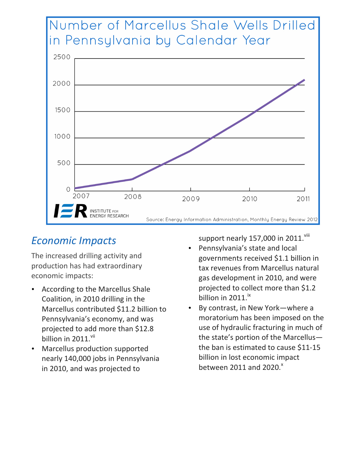

#### *Economic Impacts*

The increased drilling activity and production has had extraordinary economic impacts:

- According to the Marcellus Shale Coalition, in 2010 drilling in the Marcellus contributed \$11.2 billion to Pennsylvania's economy, and was projected to add more than \$12.8 billion in 2011.<sup>vii</sup>
- Marcellus production supported nearly 140,000 jobs in Pennsylvania in 2010, and was projected to

support nearly 157,000 in 2011.<sup>viii</sup>

- Pennsylvania's state and local governments received \$1.1 billion in tax revenues from Marcellus natural gas development in 2010, and were projected to collect more than \$1.2 billion in  $2011.^{ix}$
- By contrast, in New York-where a moratorium has been imposed on the use of hydraulic fracturing in much of the state's portion of the Marcellusthe ban is estimated to cause \$11-15 billion in lost economic impact between  $2011$  and  $2020$ .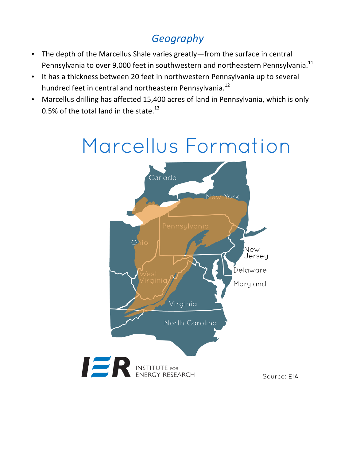### *Geography*

- The depth of the Marcellus Shale varies greatly—from the surface in central Pennsylvania to over 9,000 feet in southwestern and northeastern Pennsylvania.<sup>11</sup>
- It has a thickness between 20 feet in northwestern Pennsylvania up to several hundred feet in central and northeastern Pennsylvania.<sup>12</sup>
- Marcellus drilling has affected 15,400 acres of land in Pennsylvania, which is only 0.5% of the total land in the state. $^{13}$

# Marcellus Formation